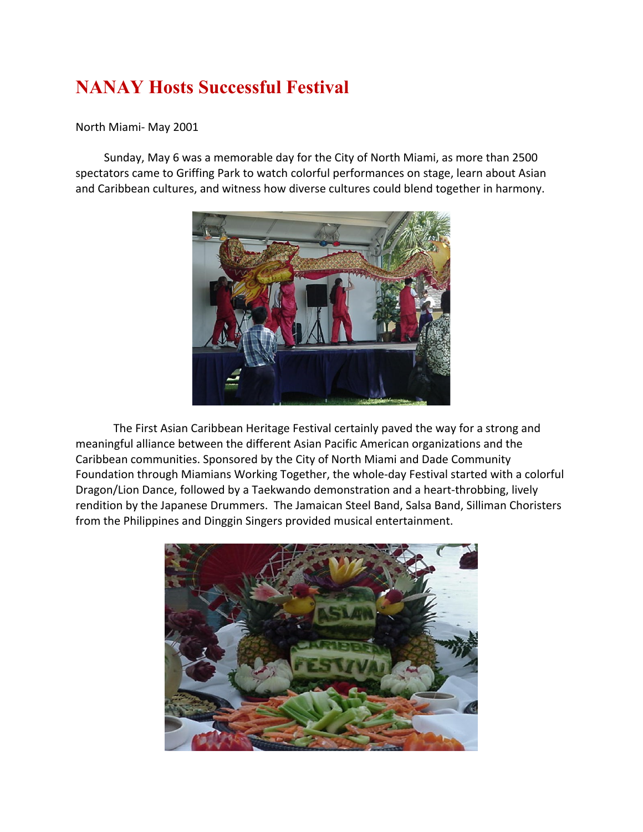## **NANAY Hosts Successful Festival**

## North Miami- May 2001

 Sunday, May 6 was a memorable day for the City of North Miami, as more than 2500 spectators came to Griffing Park to watch colorful performances on stage, learn about Asian and Caribbean cultures, and witness how diverse cultures could blend together in harmony.



The First Asian Caribbean Heritage Festival certainly paved the way for a strong and meaningful alliance between the different Asian Pacific American organizations and the Caribbean communities. Sponsored by the City of North Miami and Dade Community Foundation through Miamians Working Together, the whole-day Festival started with a colorful Dragon/Lion Dance, followed by a Taekwando demonstration and a heart-throbbing, lively rendition by the Japanese Drummers. The Jamaican Steel Band, Salsa Band, Silliman Choristers from the Philippines and Dinggin Singers provided musical entertainment.